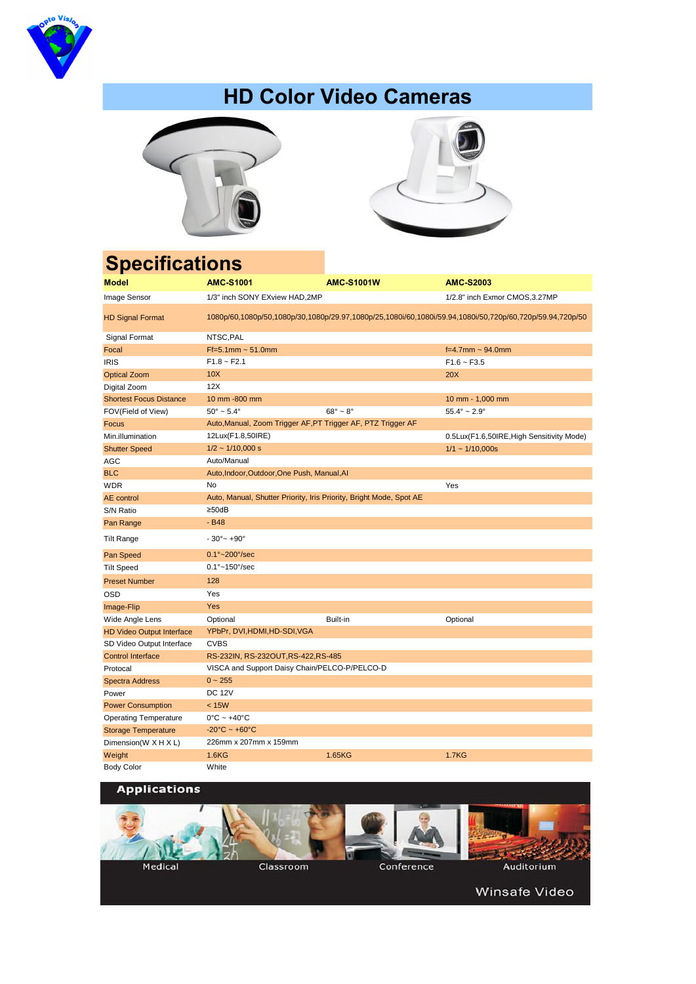| <b>Model</b>                     | <b>AMC-S1001</b>                                                                                         | <b>AMC-S1001W</b>       | <b>AMC-S2003</b>                          |  |  |
|----------------------------------|----------------------------------------------------------------------------------------------------------|-------------------------|-------------------------------------------|--|--|
| Image Sensor                     | 1/3" inch SONY EXview HAD, 2MP                                                                           |                         | 1/2.8" inch Exmor CMOS, 3.27MP            |  |  |
| <b>HD Signal Format</b>          | 1080p/60,1080p/50,1080p/30,1080p/29.97,1080p/25,1080i/60,1080i/59.94,1080i/50,720p/60,720p/59.94,720p/50 |                         |                                           |  |  |
| Signal Format                    | NTSC, PAL                                                                                                |                         |                                           |  |  |
| Focal                            | $Ff = 5.1$ mm ~ 51.0mm                                                                                   |                         | $f=4.7$ mm ~ 94.0mm                       |  |  |
| <b>IRIS</b>                      | $F1.8 \sim F2.1$                                                                                         |                         | $F1.6 - F3.5$                             |  |  |
| <b>Optical Zoom</b>              | 10X                                                                                                      |                         | 20X                                       |  |  |
| Digital Zoom                     | 12X                                                                                                      |                         |                                           |  |  |
| <b>Shortest Focus Distance</b>   | 10 mm -800 mm                                                                                            |                         | 10 mm - 1,000 mm                          |  |  |
| FOV(Field of View)               | $50^{\circ} \sim 5.4^{\circ}$                                                                            | $68^\circ \sim 8^\circ$ | $55.4^{\circ} \sim 2.9^{\circ}$           |  |  |
| Focus                            | Auto, Manual, Zoom Trigger AF, PT Trigger AF, PTZ Trigger AF                                             |                         |                                           |  |  |
| Min.illumination                 | 12Lux(F1.8,50IRE)                                                                                        |                         | 0.5Lux(F1.6,50IRE, High Sensitivity Mode) |  |  |
| <b>Shutter Speed</b>             | $1/2 \sim 1/10,000$ s                                                                                    |                         | $1/1 \sim 1/10,000s$                      |  |  |
| <b>AGC</b>                       | Auto/Manual                                                                                              |                         |                                           |  |  |
| <b>BLC</b>                       | Auto, Indoor, Outdoor, One Push, Manual, Al                                                              |                         |                                           |  |  |
| <b>WDR</b>                       | No                                                                                                       |                         | Yes                                       |  |  |
| <b>AE</b> control                | Auto, Manual, Shutter Priority, Iris Priority, Bright Mode, Spot AE                                      |                         |                                           |  |  |
| S/N Ratio                        | $\geq$ 50dB                                                                                              |                         |                                           |  |  |
| Pan Range                        | $-B48$                                                                                                   |                         |                                           |  |  |
| <b>Tilt Range</b>                | $-30^{\circ}$ $- +90^{\circ}$                                                                            |                         |                                           |  |  |
| Pan Speed                        | $0.1^{\circ}$ ~ 200 $^{\circ}$ /sec                                                                      |                         |                                           |  |  |
| <b>Tilt Speed</b>                | $0.1^{\circ}$ ~150°/sec                                                                                  |                         |                                           |  |  |
| <b>Preset Number</b>             | 128                                                                                                      |                         |                                           |  |  |
| <b>OSD</b>                       | Yes                                                                                                      |                         |                                           |  |  |
| Image-Flip                       | <b>Yes</b>                                                                                               |                         |                                           |  |  |
| Wide Angle Lens                  | Optional                                                                                                 | Built-in                | Optional                                  |  |  |
| <b>HD Video Output Interface</b> | YPbPr, DVI, HDMI, HD-SDI, VGA                                                                            |                         |                                           |  |  |
| SD Video Output Interface        | <b>CVBS</b>                                                                                              |                         |                                           |  |  |
| <b>Control Interface</b>         | RS-232IN, RS-232OUT, RS-422, RS-485                                                                      |                         |                                           |  |  |
| Protocal                         | VISCA and Support Daisy Chain/PELCO-P/PELCO-D                                                            |                         |                                           |  |  |
| <b>Spectra Address</b>           | $0 - 255$                                                                                                |                         |                                           |  |  |
| Power                            | <b>DC 12V</b>                                                                                            |                         |                                           |  |  |
| <b>Power Consumption</b>         | < 15W                                                                                                    |                         |                                           |  |  |
| <b>Operating Temperature</b>     | $0^{\circ}$ C ~ +40 $^{\circ}$ C                                                                         |                         |                                           |  |  |
| <b>Storage Temperature</b>       | $-20^{\circ}$ C ~ +60 $^{\circ}$ C                                                                       |                         |                                           |  |  |
| Dimension(W X H X L)             | 226mm x 207mm x 159mm                                                                                    |                         |                                           |  |  |
| Weight                           | 1.6KG                                                                                                    | 1.65KG                  | <b>1.7KG</b>                              |  |  |

| .                 | .     | . | -------- |
|-------------------|-------|---|----------|
| <b>Body Color</b> | White |   |          |





# **HD Color Video Cameras**





# **Specifications**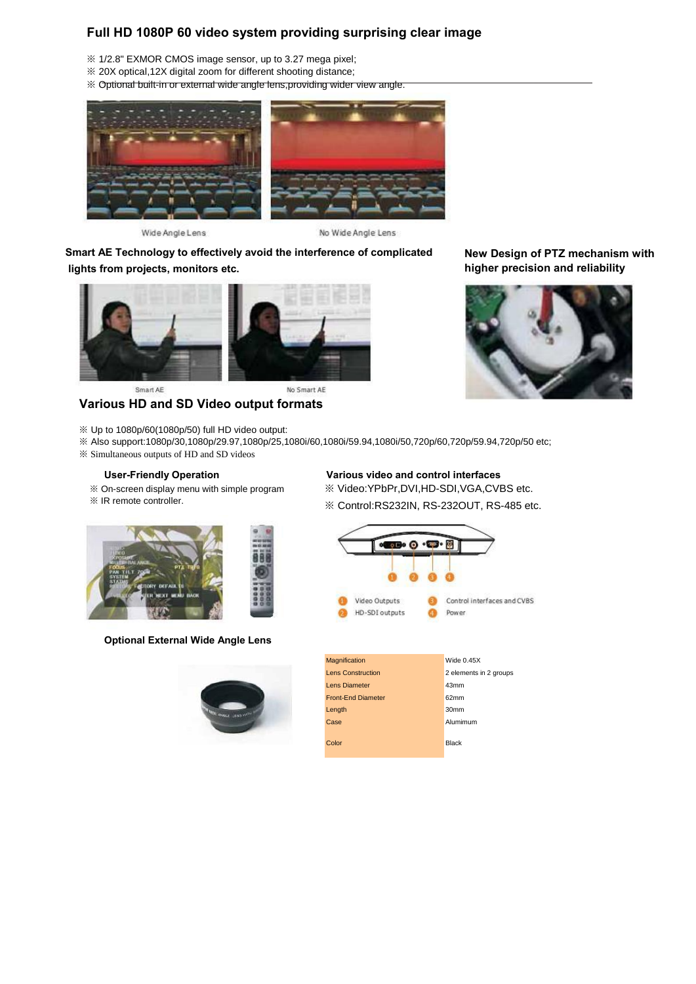**New Design of PTZ mechanism with higher precision and reliability**



| <b>Magnification</b>      | Wide $0.45X$           |
|---------------------------|------------------------|
| Lens Construction         | 2 elements in 2 groups |
| <b>Lens Diameter</b>      | 43 <sub>mm</sub>       |
| <b>Front-Fnd Diameter</b> | 62mm                   |
| Length                    | 30 <sub>mm</sub>       |
| Case                      | Alumimum               |
| Color                     | <b>Black</b>           |

### **Optional External Wide Angle Lens**



## **Various HD and SD Video output formats**

※ Up to 1080p/60(1080p/50) full HD video output:

※ Also support:1080p/30,1080p/29.97,1080p/25,1080i/60,1080i/59.94,1080i/50,720p/60,720p/59.94,720p/50 etc;

※ Simultaneous outputs of HD and SD videos

### **User-Friendly Operation Various video and control interfaces**

- ※ On-screen display menu with simple program
- ※ IR remote controller.



- ※ Video:YPbPr,DVI,HD-SDI,VGA,CVBS etc.
- ※ Control:RS232IN, RS-232OUT, RS-485 etc.



### **Full HD 1080P 60 video system providing surprising clear image**

- ※ 1/2.8" EXMOR CMOS image sensor, up to 3.27 mega pixel;
- ※ 20X optical,12X digital zoom for different shooting distance;
- ※ Optional built-in or external wide angle lens,providing wider view angle.



Wide Angle Lens

No Wide Angle Lens

**Smart AE Technology to effectively avoid the interference of complicated lights from projects, monitors etc.**



Smart AE